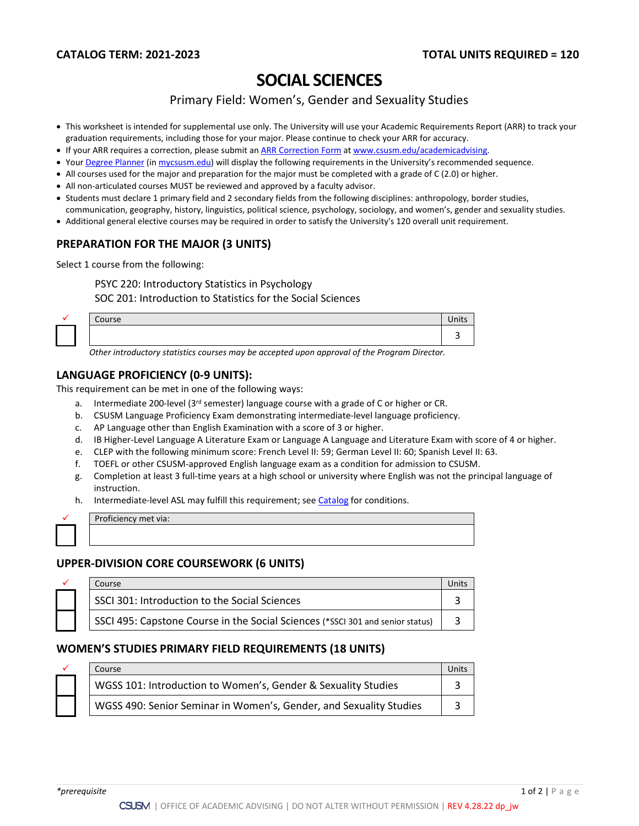# **SOCIAL SCIENCES**

Primary Field: Women's, Gender and Sexuality Studies

- This worksheet is intended for supplemental use only. The University will use your Academic Requirements Report (ARR) to track your graduation requirements, including those for your major. Please continue to check your ARR for accuracy.
- If your ARR requires a correction, please submit an [ARR Correction Form](http://www.csusm.edu/academicadvising/arrcorrection/index.html) a[t www.csusm.edu/academicadvising.](http://www.csusm.edu/academicadvising)
- You[r Degree Planner](https://www.csusm.edu/academicadvising/degreeplanner/index.html) (i[n mycsusm.edu\)](https://my.csusm.edu/) will display the following requirements in the University's recommended sequence.
- All courses used for the major and preparation for the major must be completed with a grade of C (2.0) or higher.
- All non-articulated courses MUST be reviewed and approved by a faculty advisor.
- Students must declare 1 primary field and 2 secondary fields from the following disciplines: anthropology, border studies,
- communication, geography, history, linguistics, political science, psychology, sociology, and women's, gender and sexuality studies.
- Additional general elective courses may be required in order to satisfy the University's 120 overall unit requirement.

# **PREPARATION FOR THE MAJOR (3 UNITS)**

Select 1 course from the following:

PSYC 220: Introductory Statistics in Psychology SOC 201: Introduction to Statistics for the Social Sciences

| Course |  | $\bullet$ .<br>Inits |
|--------|--|----------------------|
|        |  |                      |

*Other introductory statistics courses may be accepted upon approval of the Program Director.*

### **LANGUAGE PROFICIENCY (0-9 UNITS):**

This requirement can be met in one of the following ways:

- a. Intermediate 200-level ( $3<sup>rd</sup>$  semester) language course with a grade of C or higher or CR.
- b. CSUSM Language Proficiency Exam demonstrating intermediate-level language proficiency.
- c. AP Language other than English Examination with a score of 3 or higher.
- d. IB Higher-Level Language A Literature Exam or Language A Language and Literature Exam with score of 4 or higher.
- e. CLEP with the following minimum score: French Level II: 59; German Level II: 60; Spanish Level II: 63.
- f. TOEFL or other CSUSM-approved English language exam as a condition for admission to CSUSM.
- g. Completion at least 3 full-time years at a high school or university where English was not the principal language of instruction.
- h. Intermediate-level ASL may fulfill this requirement; see [Catalog](http://catalog.csusm.edu/) for conditions.

Proficiency met via:

# **UPPER-DIVISION CORE COURSEWORK (6 UNITS)**

|  | Course                                                                         |  |
|--|--------------------------------------------------------------------------------|--|
|  | SSCI 301: Introduction to the Social Sciences                                  |  |
|  | SSCI 495: Capstone Course in the Social Sciences (*SSCI 301 and senior status) |  |

#### **WOMEN'S STUDIES PRIMARY FIELD REQUIREMENTS (18 UNITS)**

|  | Course                                                             |  |
|--|--------------------------------------------------------------------|--|
|  | WGSS 101: Introduction to Women's, Gender & Sexuality Studies      |  |
|  | WGSS 490: Senior Seminar in Women's, Gender, and Sexuality Studies |  |